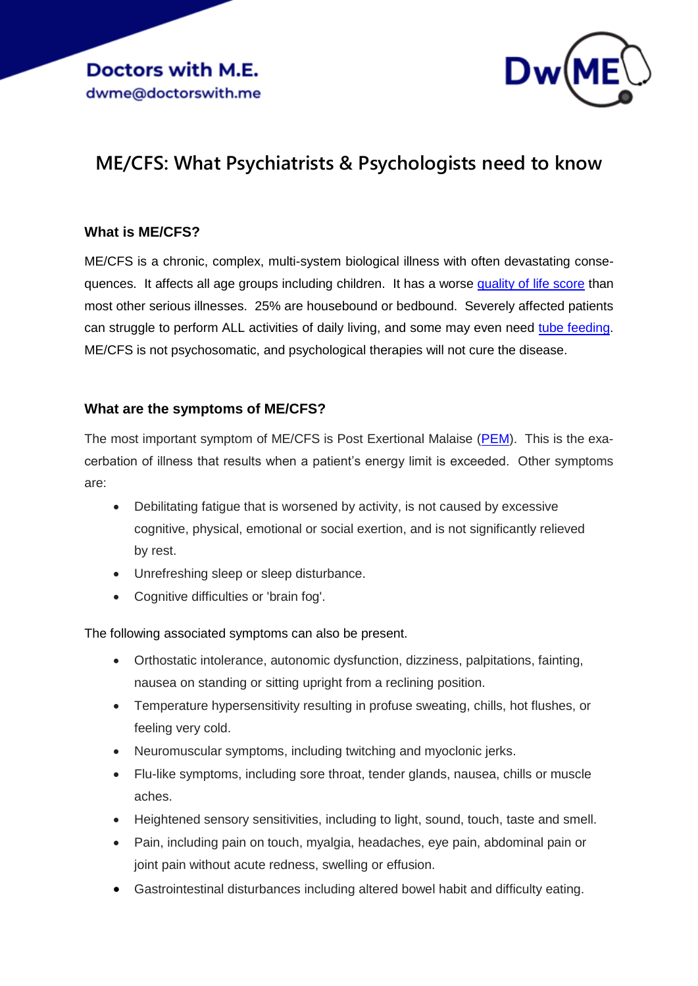

# **ME/CFS: What Psychiatrists & Psychologists need to know**

## **What is ME/CFS?**

ME/CFS is a chronic, complex, multi-system biological illness with often devastating consequences. It affects all age groups including children. It has a worse [quality of life score](https://journals.plos.org/plosone/article?id=10.1371/journal.pone.0132421#sec016) than most other serious illnesses. 25% are housebound or bedbound. Severely affected patients can struggle to perform ALL activities of daily living, and some may even need [tube feeding.](https://www.mdpi.com/2227-9032/9/4/459) ME/CFS is not psychosomatic, and psychological therapies will not cure the disease.

## **What are the symptoms of ME/CFS?**

The most important symptom of ME/CFS is Post Exertional Malaise [\(PEM\)](https://www.dialogues-mecfs.co.uk/films/post-exertional-malaise/). This is the exacerbation of illness that results when a patient's energy limit is exceeded. Other symptoms are:

- Debilitating fatigue that is worsened by activity, is not caused by excessive cognitive, physical, emotional or social exertion, and is not significantly relieved by rest.
- Unrefreshing sleep or sleep disturbance.
- Cognitive difficulties or 'brain fog'.

The following associated symptoms can also be present.

- Orthostatic intolerance, autonomic dysfunction, dizziness, palpitations, fainting, nausea on standing or sitting upright from a reclining position.
- Temperature hypersensitivity resulting in profuse sweating, chills, hot flushes, or feeling very cold.
- Neuromuscular symptoms, including twitching and myoclonic jerks.
- Flu-like symptoms, including sore throat, tender glands, nausea, chills or muscle aches.
- Heightened sensory sensitivities, including to light, sound, touch, taste and smell.
- Pain, including pain on touch, myalgia, headaches, eye pain, abdominal pain or joint pain without acute redness, swelling or effusion.
- Gastrointestinal disturbances including altered bowel habit and difficulty eating.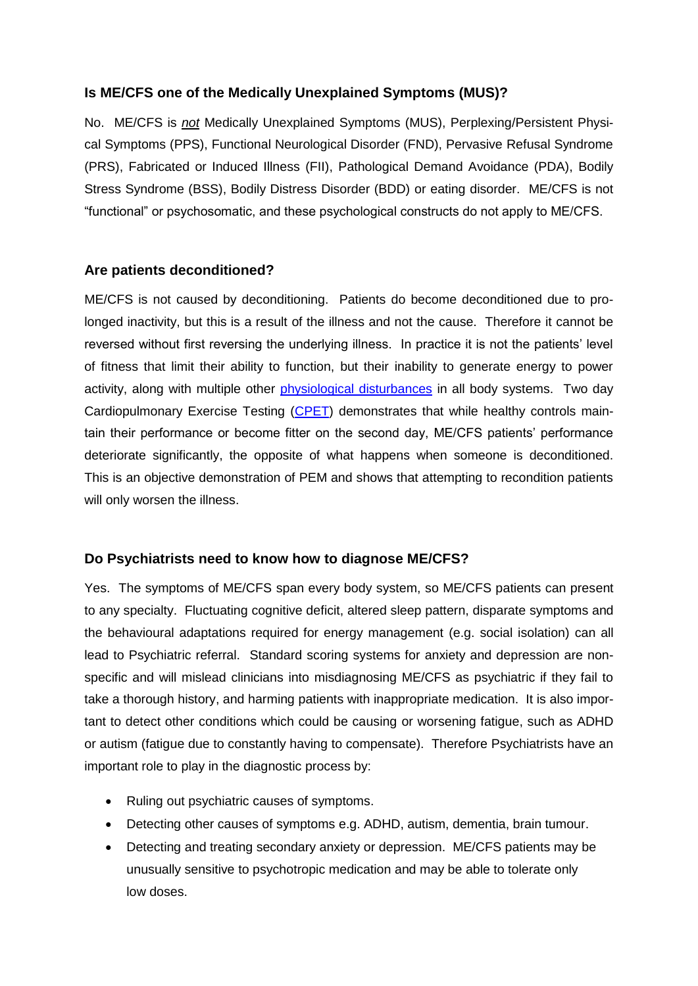## **Is ME/CFS one of the Medically Unexplained Symptoms (MUS)?**

No. ME/CFS is *not* Medically Unexplained Symptoms (MUS), Perplexing/Persistent Physical Symptoms (PPS), Functional Neurological Disorder (FND), Pervasive Refusal Syndrome (PRS), Fabricated or Induced Illness (FII), Pathological Demand Avoidance (PDA), Bodily Stress Syndrome (BSS), Bodily Distress Disorder (BDD) or eating disorder. ME/CFS is not "functional" or psychosomatic, and these psychological constructs do not apply to ME/CFS.

## **Are patients deconditioned?**

ME/CFS is not caused by deconditioning. Patients do become deconditioned due to prolonged inactivity, but this is a result of the illness and not the cause. Therefore it cannot be reversed without first reversing the underlying illness. In practice it is not the patients' level of fitness that limit their ability to function, but their inability to generate energy to power activity, along with multiple other [physiological disturbances](https://www.publichealth.columbia.edu/sites/default/files/pdf/akomaroff_jul19.pdf) in all body systems. Two day Cardiopulmonary Exercise Testing [\(CPET\)](https://www.mdpi.com/2077-0383/9/12/4040/htm?fbclid=IwAR0ykhcoQXlufbUnmbILSXd0xwomT2wpVRexZPtiC6Zj7CCrv-ZD9WjsXVQ) demonstrates that while healthy controls maintain their performance or become fitter on the second day, ME/CFS patients' performance deteriorate significantly, the opposite of what happens when someone is deconditioned. This is an objective demonstration of PEM and shows that attempting to recondition patients will only worsen the illness.

## **Do Psychiatrists need to know how to diagnose ME/CFS?**

Yes. The symptoms of ME/CFS span every body system, so ME/CFS patients can present to any specialty. Fluctuating cognitive deficit, altered sleep pattern, disparate symptoms and the behavioural adaptations required for energy management (e.g. social isolation) can all lead to Psychiatric referral. Standard scoring systems for anxiety and depression are nonspecific and will mislead clinicians into misdiagnosing ME/CFS as psychiatric if they fail to take a thorough history, and harming patients with inappropriate medication. It is also important to detect other conditions which could be causing or worsening fatigue, such as ADHD or autism (fatigue due to constantly having to compensate). Therefore Psychiatrists have an important role to play in the diagnostic process by:

- Ruling out psychiatric causes of symptoms.
- Detecting other causes of symptoms e.g. ADHD, autism, dementia, brain tumour.
- Detecting and treating secondary anxiety or depression. ME/CFS patients may be unusually sensitive to psychotropic medication and may be able to tolerate only low doses.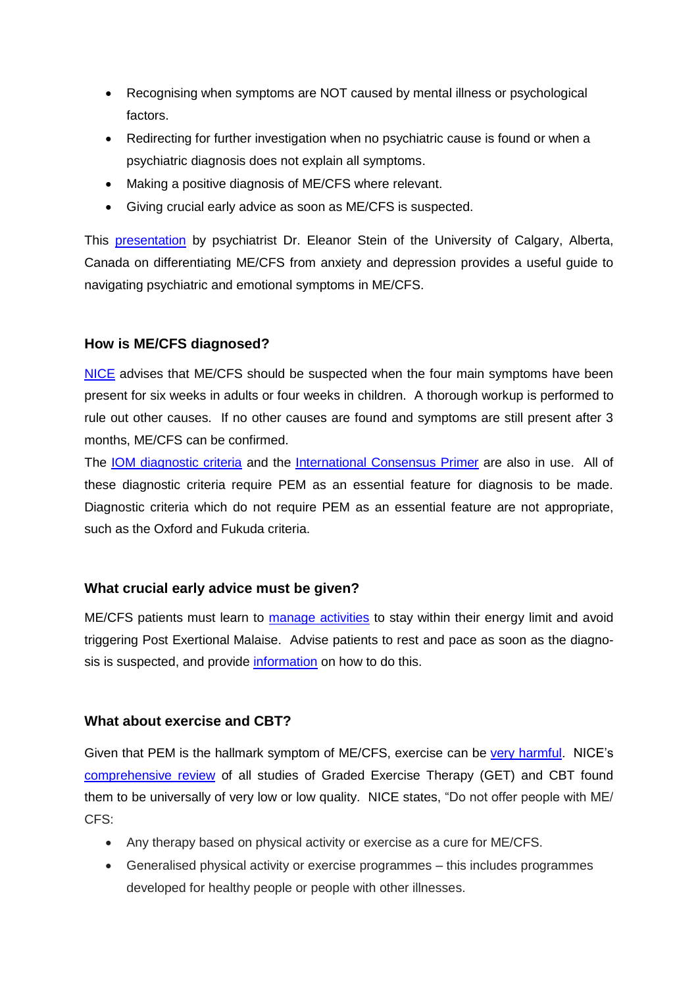- Recognising when symptoms are NOT caused by mental illness or psychological factors.
- Redirecting for further investigation when no psychiatric cause is found or when a psychiatric diagnosis does not explain all symptoms.
- Making a positive diagnosis of ME/CFS where relevant.
- Giving crucial early advice as soon as ME/CFS is suspected.

This [presentation](https://s3.amazonaws.com/kajabi-storefronts-production/sites/90617/themes/1534791/downloads/ki63ddX9RjGsn1wAs4yN_Differentiating-CFS-from-Psychiatric-Disorders-20073.pdf) by psychiatrist Dr. Eleanor Stein of the University of Calgary, Alberta, Canada on differentiating ME/CFS from anxiety and depression provides a useful guide to navigating psychiatric and emotional symptoms in ME/CFS.

## **How is ME/CFS diagnosed?**

[NICE](https://www.nice.org.uk/guidance/ng206) advises that ME/CFS should be suspected when the four main symptoms have been present for six weeks in adults or four weeks in children. A thorough workup is performed to rule out other causes. If no other causes are found and symptoms are still present after 3 months, ME/CFS can be confirmed.

The [IOM diagnostic criteria](https://www.cdc.gov/me-cfs/healthcare-providers/diagnosis/iom-2015-diagnostic-criteria.html) and the [International Consensus Primer](https://doctorswith.me/international-consensus-primer-for-medical-practitioners/) are also in use. All of these diagnostic criteria require PEM as an essential feature for diagnosis to be made. Diagnostic criteria which do not require PEM as an essential feature are not appropriate, such as the Oxford and Fukuda criteria.

## **What crucial early advice must be given?**

ME/CFS patients must learn to [manage activities](https://www.dialogues-mecfs.co.uk/films/pacing/) to stay within their energy limit and avoid triggering Post Exertional Malaise. Advise patients to rest and pace as soon as the diagnosis is suspected, and provide [information](https://www.rcot.co.uk/conserving-energy) on how to do this.

## **What about exercise and CBT?**

Given that PEM is the hallmark symptom of ME/CFS, exercise can be [very harmful.](http://bit.ly/MEAssSurvey2015) NICE's [comprehensive review](https://www.nice.org.uk/guidance/ng206/evidence/g-nonpharmacological-management-of-mecfs-pdf-9265183028) of all studies of Graded Exercise Therapy (GET) and CBT found them to be universally of very low or low quality. NICE states, "Do not offer people with ME/ CFS:

- Any therapy based on physical activity or exercise as a cure for ME/CFS.
- Generalised physical activity or exercise programmes this includes programmes developed for healthy people or people with other illnesses.